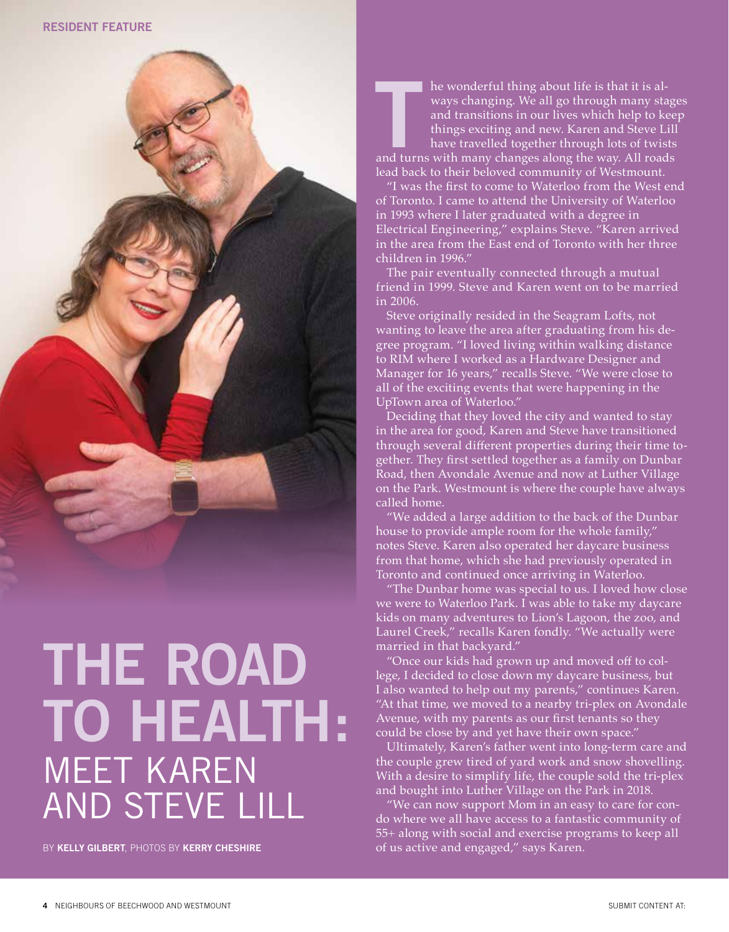

## **THE ROAD TO HEALTH:**  MEET KAREN AND STEVE LILL

BY **KELLY GILBERT**, PHOTOS BY **KERRY CHESHIRE**

**THE MANUSE IS A THRANGE THE WAND THE WAND SURVEY THE WAYS Changing. We all go through many stage and transitions in our lives which help to kee things exciting and new. Karen and Steve Lill have travelled together through** he wonderful thing about life is that it is always changing. We all go through many stages and transitions in our lives which help to keep things exciting and new. Karen and Steve Lill have travelled together through lots of twists lead back to their beloved community of Westmount.

"I was the first to come to Waterloo from the West end of Toronto. I came to attend the University of Waterloo in 1993 where I later graduated with a degree in Electrical Engineering," explains Steve. "Karen arrived in the area from the East end of Toronto with her three children in 1996."

The pair eventually connected through a mutual friend in 1999. Steve and Karen went on to be married in 2006.

Steve originally resided in the Seagram Lofts, not wanting to leave the area after graduating from his degree program. "I loved living within walking distance to RIM where I worked as a Hardware Designer and Manager for 16 years," recalls Steve. "We were close to all of the exciting events that were happening in the UpTown area of Waterloo."

Deciding that they loved the city and wanted to stay in the area for good, Karen and Steve have transitioned through several different properties during their time together. They first settled together as a family on Dunbar Road, then Avondale Avenue and now at Luther Village on the Park. Westmount is where the couple have always called home.

"We added a large addition to the back of the Dunbar house to provide ample room for the whole family," notes Steve. Karen also operated her daycare business from that home, which she had previously operated in Toronto and continued once arriving in Waterloo.

"The Dunbar home was special to us. I loved how close we were to Waterloo Park. I was able to take my daycare kids on many adventures to Lion's Lagoon, the zoo, and Laurel Creek," recalls Karen fondly. "We actually were married in that backyard."

"Once our kids had grown up and moved off to college, I decided to close down my daycare business, but I also wanted to help out my parents," continues Karen. "At that time, we moved to a nearby tri-plex on Avondale Avenue, with my parents as our first tenants so they could be close by and yet have their own space."

Ultimately, Karen's father went into long-term care and the couple grew tired of yard work and snow shovelling. With a desire to simplify life, the couple sold the tri-plex and bought into Luther Village on the Park in 2018.

"We can now support Mom in an easy to care for condo where we all have access to a fantastic community of 55+ along with social and exercise programs to keep all of us active and engaged," says Karen.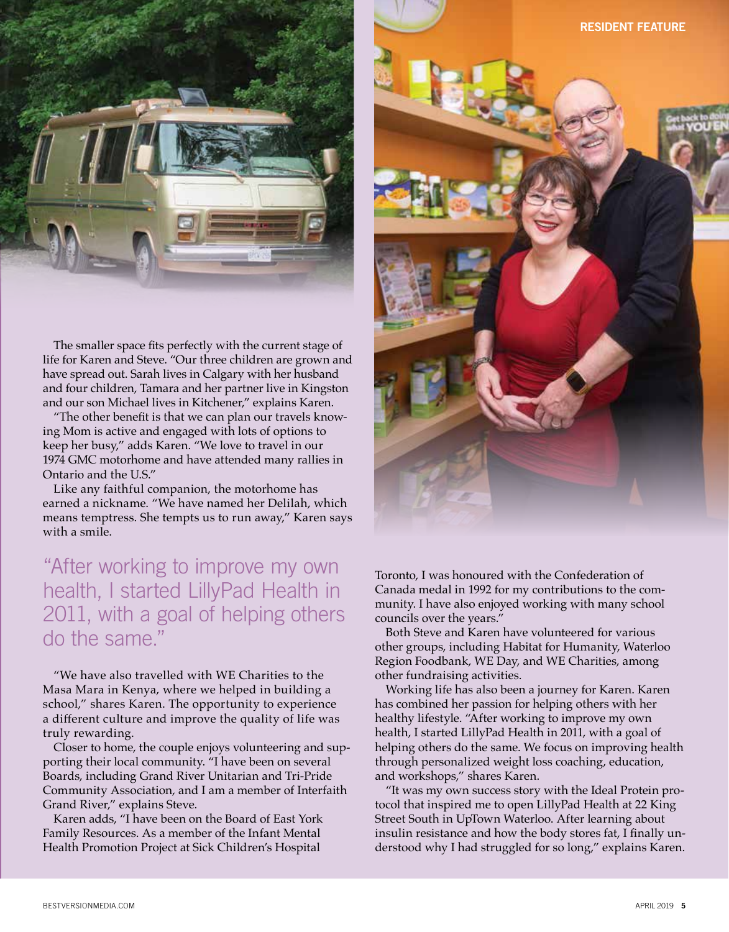

The smaller space fits perfectly with the current stage of life for Karen and Steve. "Our three children are grown and have spread out. Sarah lives in Calgary with her husband and four children, Tamara and her partner live in Kingston and our son Michael lives in Kitchener," explains Karen.

"The other benefit is that we can plan our travels knowing Mom is active and engaged with lots of options to keep her busy," adds Karen. "We love to travel in our 1974 GMC motorhome and have attended many rallies in Ontario and the U.S."

Like any faithful companion, the motorhome has earned a nickname. "We have named her Delilah, which means temptress. She tempts us to run away," Karen says with a smile.

## "After working to improve my own health, I started LillyPad Health in 2011, with a goal of helping others do the same."

"We have also travelled with WE Charities to the Masa Mara in Kenya, where we helped in building a school," shares Karen. The opportunity to experience a different culture and improve the quality of life was truly rewarding.

Closer to home, the couple enjoys volunteering and supporting their local community. "I have been on several Boards, including Grand River Unitarian and Tri-Pride Community Association, and I am a member of Interfaith Grand River," explains Steve.

Karen adds, "I have been on the Board of East York Family Resources. As a member of the Infant Mental Health Promotion Project at Sick Children's Hospital



Toronto, I was honoured with the Confederation of Canada medal in 1992 for my contributions to the community. I have also enjoyed working with many school councils over the years."

Both Steve and Karen have volunteered for various other groups, including Habitat for Humanity, Waterloo Region Foodbank, WE Day, and WE Charities, among other fundraising activities.

Working life has also been a journey for Karen. Karen has combined her passion for helping others with her healthy lifestyle. "After working to improve my own health, I started LillyPad Health in 2011, with a goal of helping others do the same. We focus on improving health through personalized weight loss coaching, education, and workshops," shares Karen.

"It was my own success story with the Ideal Protein protocol that inspired me to open LillyPad Health at 22 King Street South in UpTown Waterloo. After learning about insulin resistance and how the body stores fat, I finally understood why I had struggled for so long," explains Karen.